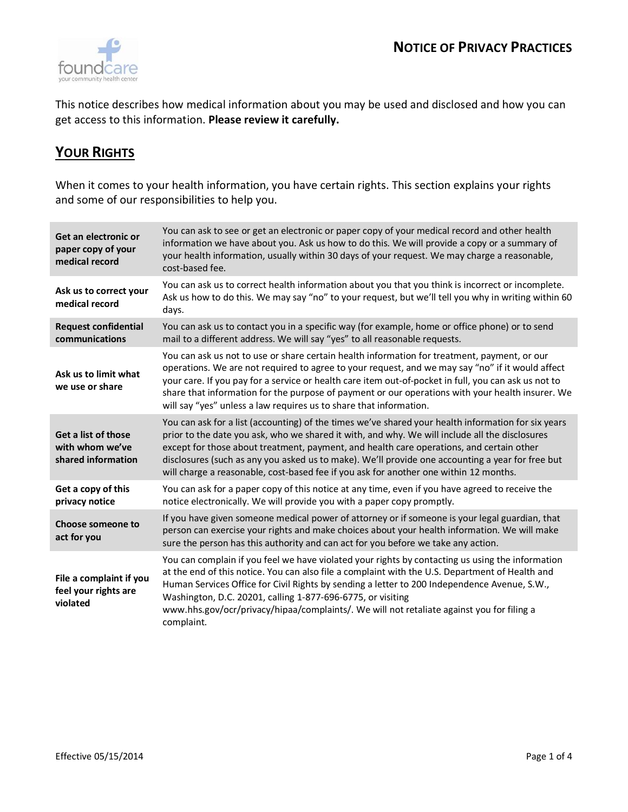

This notice describes how medical information about you may be used and disclosed and how you can get access to this information. **Please review it carefully.**

# **YOUR RIGHTS**

When it comes to your health information, you have certain rights. This section explains your rights and some of our responsibilities to help you.

| Get an electronic or<br>paper copy of your<br>medical record        | You can ask to see or get an electronic or paper copy of your medical record and other health<br>information we have about you. Ask us how to do this. We will provide a copy or a summary of<br>your health information, usually within 30 days of your request. We may charge a reasonable,<br>cost-based fee.                                                                                                                                                                               |  |
|---------------------------------------------------------------------|------------------------------------------------------------------------------------------------------------------------------------------------------------------------------------------------------------------------------------------------------------------------------------------------------------------------------------------------------------------------------------------------------------------------------------------------------------------------------------------------|--|
| Ask us to correct your<br>medical record                            | You can ask us to correct health information about you that you think is incorrect or incomplete.<br>Ask us how to do this. We may say "no" to your request, but we'll tell you why in writing within 60<br>days.                                                                                                                                                                                                                                                                              |  |
| <b>Request confidential</b><br>communications                       | You can ask us to contact you in a specific way (for example, home or office phone) or to send<br>mail to a different address. We will say "yes" to all reasonable requests.                                                                                                                                                                                                                                                                                                                   |  |
| Ask us to limit what<br>we use or share                             | You can ask us not to use or share certain health information for treatment, payment, or our<br>operations. We are not required to agree to your request, and we may say "no" if it would affect<br>your care. If you pay for a service or health care item out-of-pocket in full, you can ask us not to<br>share that information for the purpose of payment or our operations with your health insurer. We<br>will say "yes" unless a law requires us to share that information.             |  |
| <b>Get a list of those</b><br>with whom we've<br>shared information | You can ask for a list (accounting) of the times we've shared your health information for six years<br>prior to the date you ask, who we shared it with, and why. We will include all the disclosures<br>except for those about treatment, payment, and health care operations, and certain other<br>disclosures (such as any you asked us to make). We'll provide one accounting a year for free but<br>will charge a reasonable, cost-based fee if you ask for another one within 12 months. |  |
| Get a copy of this<br>privacy notice                                | You can ask for a paper copy of this notice at any time, even if you have agreed to receive the<br>notice electronically. We will provide you with a paper copy promptly.                                                                                                                                                                                                                                                                                                                      |  |
| Choose someone to<br>act for you                                    | If you have given someone medical power of attorney or if someone is your legal guardian, that<br>person can exercise your rights and make choices about your health information. We will make<br>sure the person has this authority and can act for you before we take any action.                                                                                                                                                                                                            |  |
| File a complaint if you<br>feel your rights are<br>violated         | You can complain if you feel we have violated your rights by contacting us using the information<br>at the end of this notice. You can also file a complaint with the U.S. Department of Health and<br>Human Services Office for Civil Rights by sending a letter to 200 Independence Avenue, S.W.,<br>Washington, D.C. 20201, calling 1-877-696-6775, or visiting<br>www.hhs.gov/ocr/privacy/hipaa/complaints/. We will not retaliate against you for filing a<br>complaint.                  |  |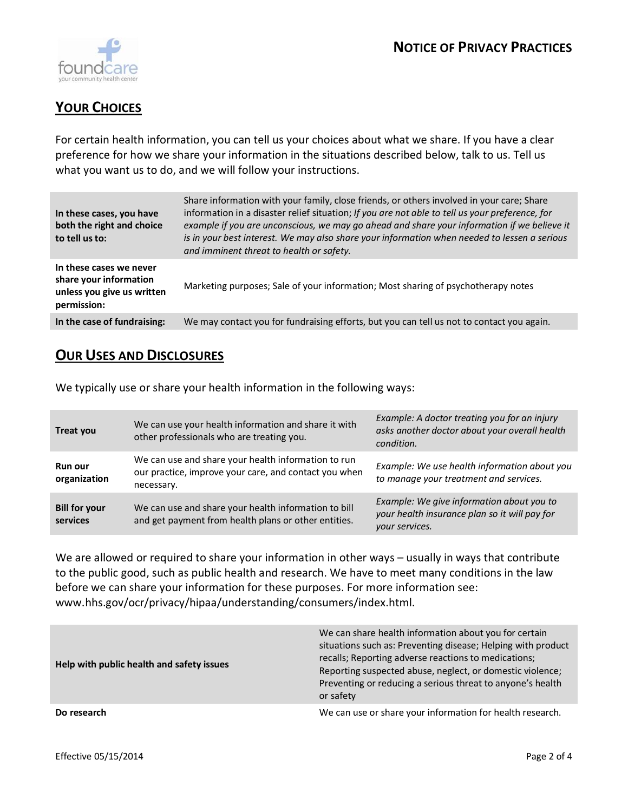

# **YOUR CHOICES**

For certain health information, you can tell us your choices about what we share. If you have a clear preference for how we share your information in the situations described below, talk to us. Tell us what you want us to do, and we will follow your instructions.

| In these cases, you have<br>both the right and choice<br>to tell us to:                        | Share information with your family, close friends, or others involved in your care; Share<br>information in a disaster relief situation; If you are not able to tell us your preference, for<br>example if you are unconscious, we may go ahead and share your information if we believe it<br>is in your best interest. We may also share your information when needed to lessen a serious<br>and imminent threat to health or safety. |
|------------------------------------------------------------------------------------------------|-----------------------------------------------------------------------------------------------------------------------------------------------------------------------------------------------------------------------------------------------------------------------------------------------------------------------------------------------------------------------------------------------------------------------------------------|
| In these cases we never<br>share your information<br>unless you give us written<br>permission: | Marketing purposes; Sale of your information; Most sharing of psychotherapy notes                                                                                                                                                                                                                                                                                                                                                       |
| In the case of fundraising:                                                                    | We may contact you for fundraising efforts, but you can tell us not to contact you again.                                                                                                                                                                                                                                                                                                                                               |

### **OUR USES AND DISCLOSURES**

We typically use or share your health information in the following ways:

| <b>Treat you</b>                 | We can use your health information and share it with<br>other professionals who are treating you.                          | Example: A doctor treating you for an injury<br>asks another doctor about your overall health<br>condition.  |
|----------------------------------|----------------------------------------------------------------------------------------------------------------------------|--------------------------------------------------------------------------------------------------------------|
| <b>Run our</b><br>organization   | We can use and share your health information to run<br>our practice, improve your care, and contact you when<br>necessary. | Example: We use health information about you<br>to manage your treatment and services.                       |
| <b>Bill for your</b><br>services | We can use and share your health information to bill<br>and get payment from health plans or other entities.               | Example: We give information about you to<br>your health insurance plan so it will pay for<br>your services. |

We are allowed or required to share your information in other ways – usually in ways that contribute to the public good, such as public health and research. We have to meet many conditions in the law before we can share your information for these purposes. For more information see: www.hhs.gov/ocr/privacy/hipaa/understanding/consumers/index.html.

| Help with public health and safety issues | We can share health information about you for certain<br>situations such as: Preventing disease; Helping with product<br>recalls; Reporting adverse reactions to medications;<br>Reporting suspected abuse, neglect, or domestic violence;<br>Preventing or reducing a serious threat to anyone's health<br>or safety |
|-------------------------------------------|-----------------------------------------------------------------------------------------------------------------------------------------------------------------------------------------------------------------------------------------------------------------------------------------------------------------------|
| Do research                               | We can use or share your information for health research.                                                                                                                                                                                                                                                             |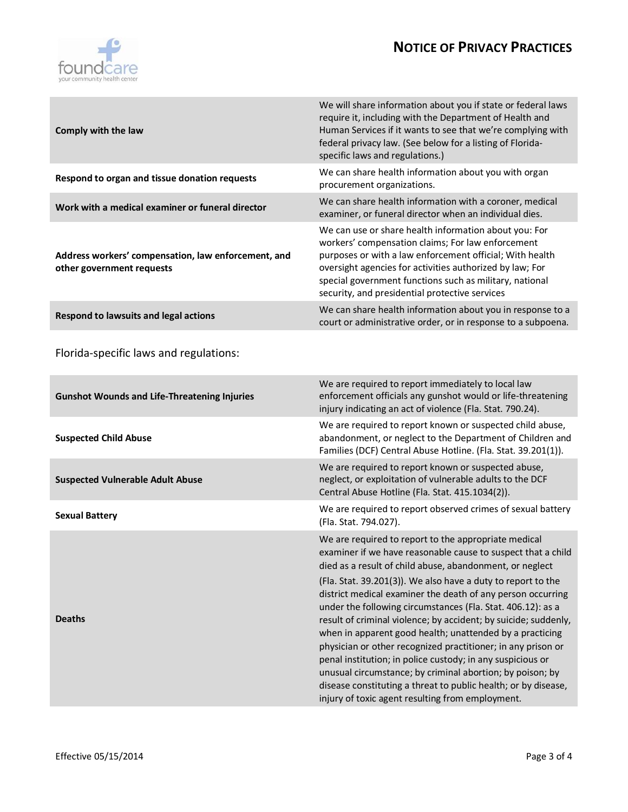

# **NOTICE OF PRIVACY PRACTICES**

| Comply with the law                                                              | We will share information about you if state or federal laws<br>require it, including with the Department of Health and<br>Human Services if it wants to see that we're complying with<br>federal privacy law. (See below for a listing of Florida-<br>specific laws and regulations.)                                                                                                                                                                                                                                                                                                                                                                                                                                                                                                                                         |  |
|----------------------------------------------------------------------------------|--------------------------------------------------------------------------------------------------------------------------------------------------------------------------------------------------------------------------------------------------------------------------------------------------------------------------------------------------------------------------------------------------------------------------------------------------------------------------------------------------------------------------------------------------------------------------------------------------------------------------------------------------------------------------------------------------------------------------------------------------------------------------------------------------------------------------------|--|
| Respond to organ and tissue donation requests                                    | We can share health information about you with organ<br>procurement organizations.                                                                                                                                                                                                                                                                                                                                                                                                                                                                                                                                                                                                                                                                                                                                             |  |
| Work with a medical examiner or funeral director                                 | We can share health information with a coroner, medical<br>examiner, or funeral director when an individual dies.                                                                                                                                                                                                                                                                                                                                                                                                                                                                                                                                                                                                                                                                                                              |  |
| Address workers' compensation, law enforcement, and<br>other government requests | We can use or share health information about you: For<br>workers' compensation claims; For law enforcement<br>purposes or with a law enforcement official; With health<br>oversight agencies for activities authorized by law; For<br>special government functions such as military, national<br>security, and presidential protective services                                                                                                                                                                                                                                                                                                                                                                                                                                                                                |  |
| <b>Respond to lawsuits and legal actions</b>                                     | We can share health information about you in response to a<br>court or administrative order, or in response to a subpoena.                                                                                                                                                                                                                                                                                                                                                                                                                                                                                                                                                                                                                                                                                                     |  |
| Florida-specific laws and regulations:                                           |                                                                                                                                                                                                                                                                                                                                                                                                                                                                                                                                                                                                                                                                                                                                                                                                                                |  |
| <b>Gunshot Wounds and Life-Threatening Injuries</b>                              | We are required to report immediately to local law<br>enforcement officials any gunshot would or life-threatening<br>injury indicating an act of violence (Fla. Stat. 790.24).                                                                                                                                                                                                                                                                                                                                                                                                                                                                                                                                                                                                                                                 |  |
| <b>Suspected Child Abuse</b>                                                     | We are required to report known or suspected child abuse,<br>abandonment, or neglect to the Department of Children and<br>Families (DCF) Central Abuse Hotline. (Fla. Stat. 39.201(1)).                                                                                                                                                                                                                                                                                                                                                                                                                                                                                                                                                                                                                                        |  |
| <b>Suspected Vulnerable Adult Abuse</b>                                          | We are required to report known or suspected abuse,<br>neglect, or exploitation of vulnerable adults to the DCF<br>Central Abuse Hotline (Fla. Stat. 415.1034(2)).                                                                                                                                                                                                                                                                                                                                                                                                                                                                                                                                                                                                                                                             |  |
| <b>Sexual Battery</b>                                                            | We are required to report observed crimes of sexual battery<br>(Fla. Stat. 794.027).                                                                                                                                                                                                                                                                                                                                                                                                                                                                                                                                                                                                                                                                                                                                           |  |
| <b>Deaths</b>                                                                    | We are required to report to the appropriate medical<br>examiner if we have reasonable cause to suspect that a child<br>died as a result of child abuse, abandonment, or neglect<br>(Fla. Stat. 39.201(3)). We also have a duty to report to the<br>district medical examiner the death of any person occurring<br>under the following circumstances (Fla. Stat. 406.12): as a<br>result of criminal violence; by accident; by suicide; suddenly,<br>when in apparent good health; unattended by a practicing<br>physician or other recognized practitioner; in any prison or<br>penal institution; in police custody; in any suspicious or<br>unusual circumstance; by criminal abortion; by poison; by<br>disease constituting a threat to public health; or by disease,<br>injury of toxic agent resulting from employment. |  |